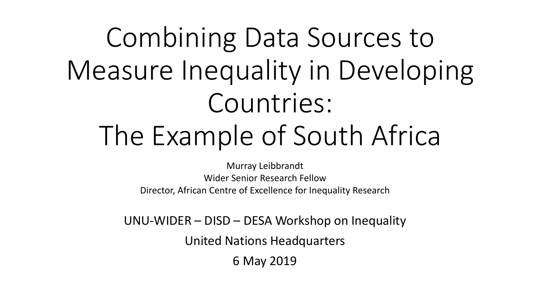# Combining Data Sources to Measure Inequality in Developing Countries: The Example of South Africa

Murray Leibbrandt Wider Senior Research Fellow Director, African Centre of Excellence for Inequality Research

UNU-WIDER – DISD – DESA Workshop on Inequality

United Nations Headquarters

6 May 2019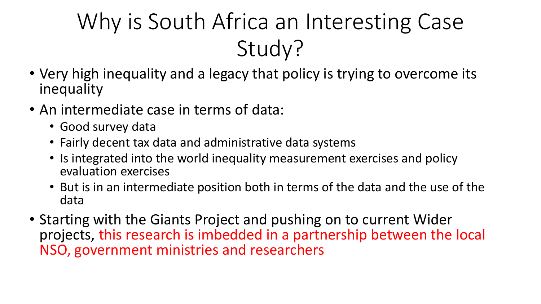# Why is South Africa an Interesting Case Study?

- Very high inequality and a legacy that policy is trying to overcome its inequality
- An intermediate case in terms of data:
	- Good survey data
	- Fairly decent tax data and administrative data systems
	- Is integrated into the world inequality measurement exercises and policy evaluation exercises
	- But is in an intermediate position both in terms of the data and the use of the data
- Starting with the Giants Project and pushing on to current Wider projects, this research is imbedded in a partnership between the local NSO, government ministries and researchers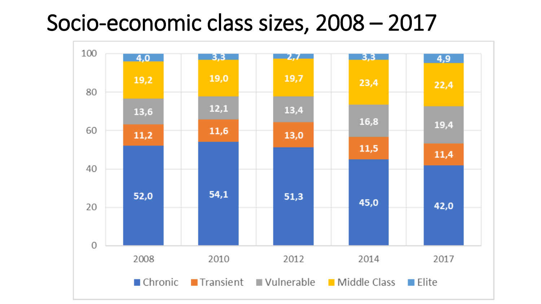## Socio-economic class sizes, 2008 – 2017

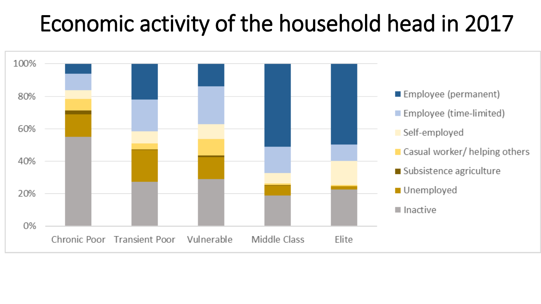## Economic activity of the household head in 2017

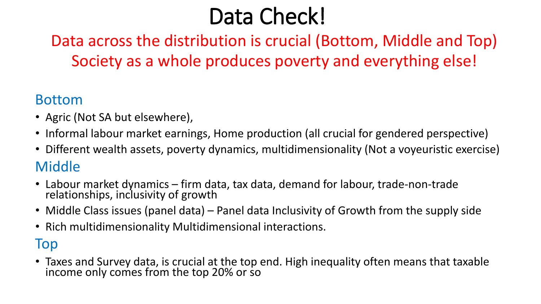## Data Check!

### Data across the distribution is crucial (Bottom, Middle and Top) Society as a whole produces poverty and everything else!

#### Bottom

- Agric (Not SA but elsewhere),
- Informal labour market earnings, Home production (all crucial for gendered perspective)
- Different wealth assets, poverty dynamics, multidimensionality (Not a voyeuristic exercise) Middle
- Labour market dynamics firm data, tax data, demand for labour, trade-non-trade relationships, inclusivity of growth
- Middle Class issues (panel data) Panel data Inclusivity of Growth from the supply side
- Rich multidimensionality Multidimensional interactions.

#### Top

• Taxes and Survey data, is crucial at the top end. High inequality often means that taxable income only comes from the top 20% or so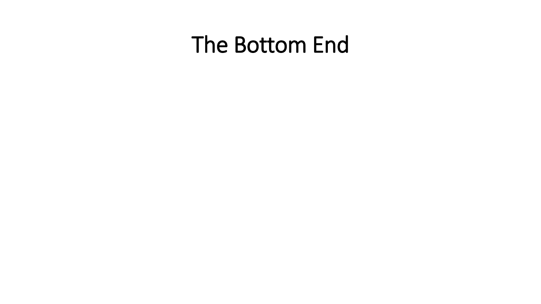## The Bottom End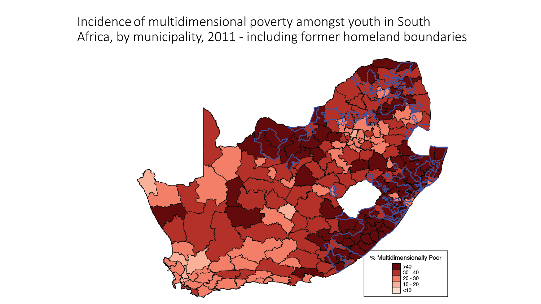Incidence of multidimensional poverty amongst youth in South Africa, by municipality, 2011 - including former homeland boundaries

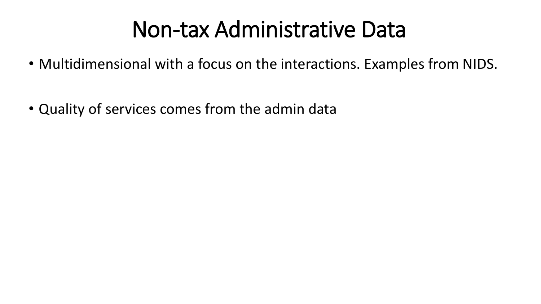## Non-tax Administrative Data

- Multidimensional with a focus on the interactions. Examples from NIDS.
- Quality of services comes from the admin data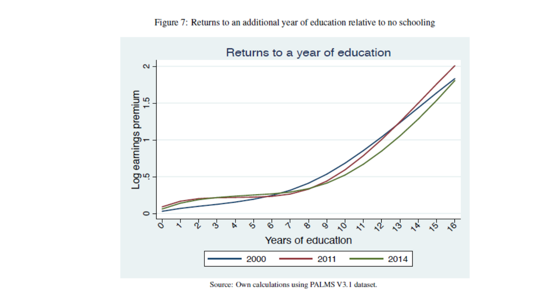Figure 7: Returns to an additional year of education relative to no schooling



Source: Own calculations using PALMS V3.1 dataset.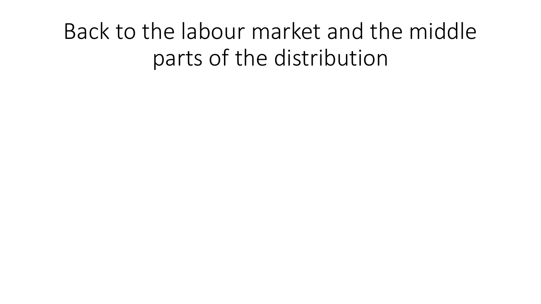## Back to the labour market and the middle parts of the distribution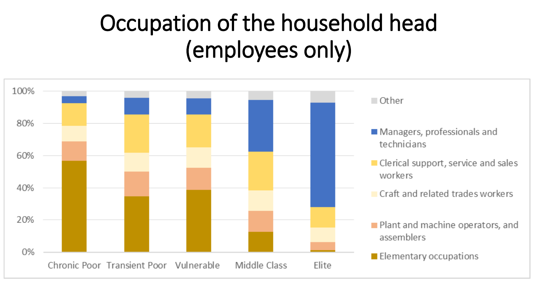## Occupation of the household head (employees only)

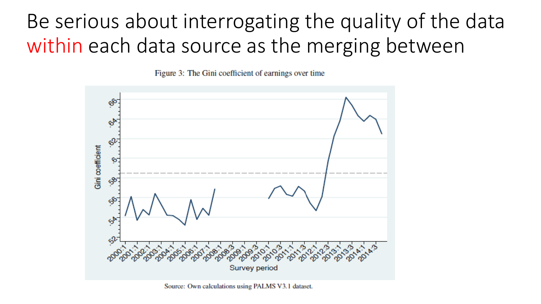## Be serious about interrogating the quality of the data within each data source as the merging between

Figure 3: The Gini coefficient of earnings over time



Source: Own calculations using PALMS V3.1 dataset.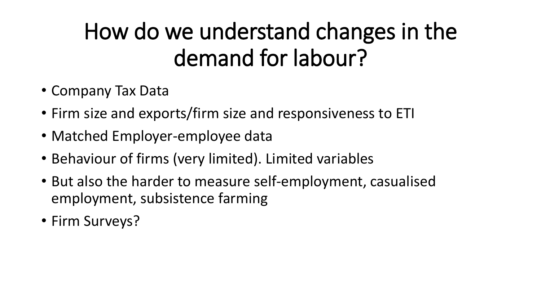# How do we understand changes in the demand for labour?

- Company Tax Data
- Firm size and exports/firm size and responsiveness to ETI
- Matched Employer-employee data
- Behaviour of firms (very limited). Limited variables
- But also the harder to measure self-employment, casualised employment, subsistence farming
- Firm Surveys?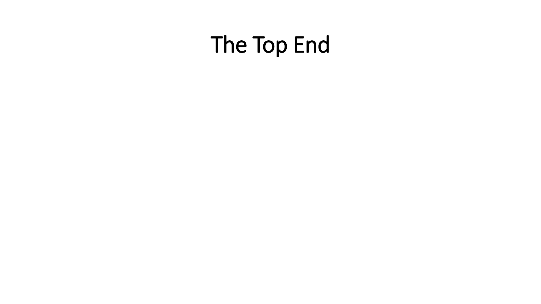## The Top End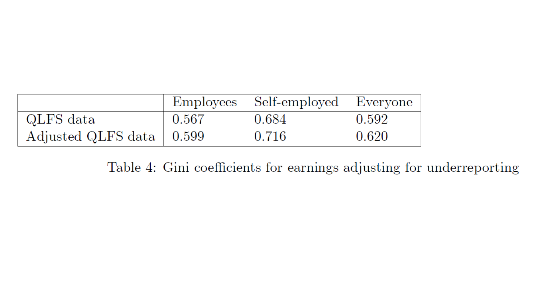|                            |       | Employees Self-employed Everyone |       |
|----------------------------|-------|----------------------------------|-------|
| QLFS data                  | 0.567 | 0.684                            | 0.592 |
| Adjusted QLFS data   0.599 |       | 0.716                            | 0.620 |

Table 4: Gini coefficients for earnings adjusting for underreporting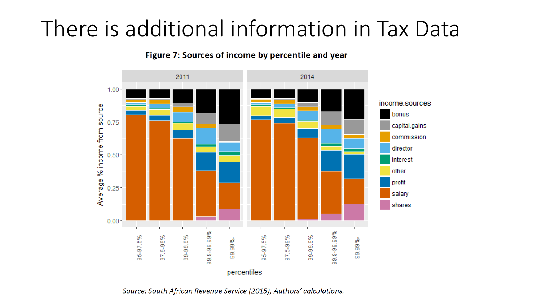## There is additional information in Tax Data

Figure 7: Sources of income by percentile and year



Source: South African Revenue Service (2015), Authors' calculations.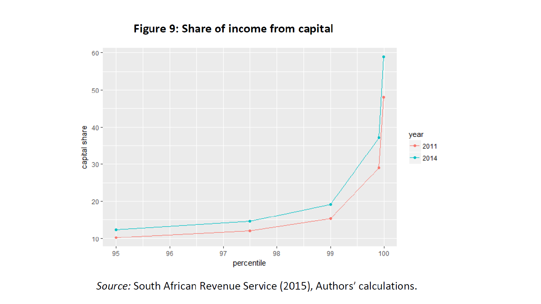#### Figure 9: Share of income from capital



Source: South African Revenue Service (2015), Authors' calculations.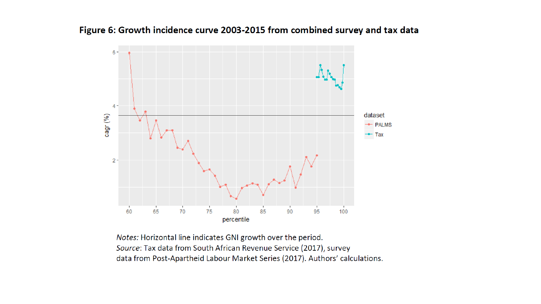

#### Figure 6: Growth incidence curve 2003-2015 from combined survey and tax data

Notes: Horizontal line indicates GNI growth over the period. Source: Tax data from South African Revenue Service (2017), survey data from Post-Apartheid Labour Market Series (2017). Authors' calculations.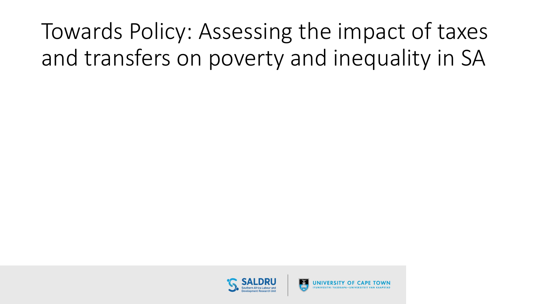Towards Policy: Assessing the impact of taxes and transfers on poverty and inequality in SA

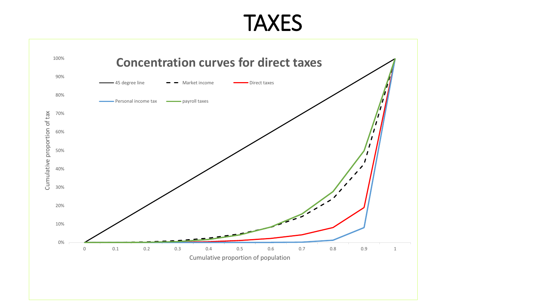### TAXES

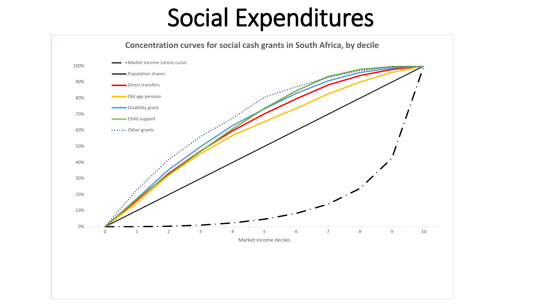# Social Expenditures

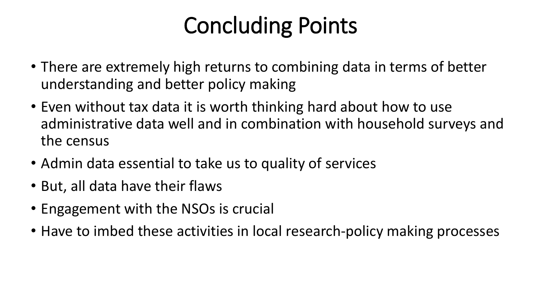# Concluding Points

- There are extremely high returns to combining data in terms of better understanding and better policy making
- Even without tax data it is worth thinking hard about how to use administrative data well and in combination with household surveys and the census
- Admin data essential to take us to quality of services
- But, all data have their flaws
- Engagement with the NSOs is crucial
- Have to imbed these activities in local research-policy making processes